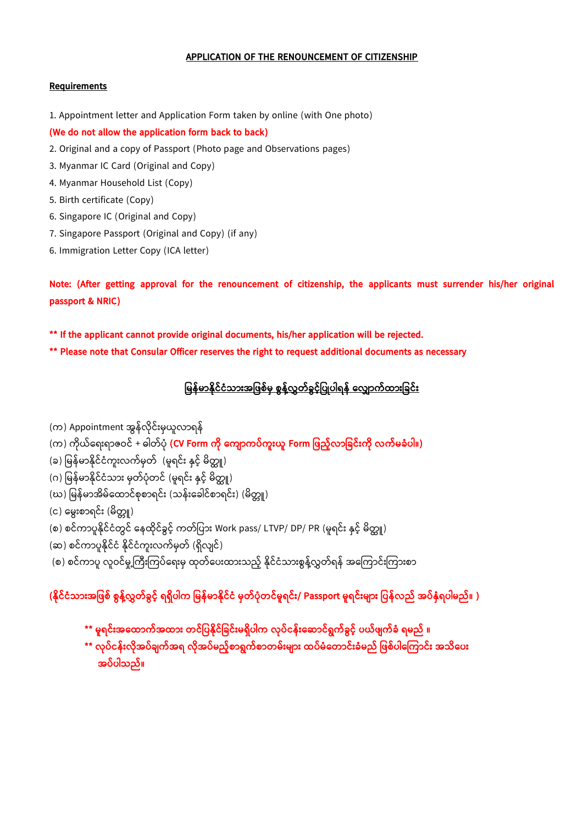## **APPLICATION OF THE RENOUNCEMENT OF CITIZENSHIP**

## **Requirements**

- 1. Appointment letter and Application Form taken by online (with One photo)
- **(We do not allow the application form back to back)**
- 2. Original and a copy of Passport (Photo page and Observations pages)
- 3. Myanmar IC Card (Original and Copy)
- 4. Myanmar Household List (Copy)
- 5. Birth certificate (Copy)
- 6. Singapore IC (Original and Copy)
- 7. Singapore Passport (Original and Copy) (if any)
- 6. Immigration Letter Copy (ICA letter)

**Note: (After getting approval for the renouncement of citizenship, the applicants must surrender his/her original passport & NRIC)**

**\*\* If the applicant cannot provide original documents, his/her application will be rejected.**

**\*\* Please note that Consular Officer reserves the right to request additional documents as necessary**

<u>မြန်မာနိုင်ငံသားအဖြစ်မှ စွန့်လွှတ်ခွင့်ပြုပါရန် လျောက်ထားခြင်း</u>

- (က) Appointment အွန်လိုင်းမှယူလာရန်
- (က) က ိုယ်ရရ်းရာဇဝင် + ဓါတ်ပ ို **(CV Form က ို လက ာကပ်ကူားယူ Form မြည့််လာမခင်ားက ို လက်ြခံပါ။)**
- (ခ) မြန်မာနိုင်ငံကူးလက်မှတ် (မူရင်း နှင့် မိတ္တူ)
- (ဂ) မြန်မာနိုင်ငံသား မှတ်ပုံတင် (မူရင်း နှင့် မိတ္ထူ)
- (ဃ) မြန်မာအိမ်ထောင်စုစာရင်း (သန်းခေါင်စာရင်း) (မိတ္တူ)
- (င) မွေးစာရင်း (မိတ္တူ)
- (စ) စင်ကာပူနိုင်ငံတွင် နေထိုင်ခွင့် ကတ်ပြား Work pass/ LTVP/ DP/ PR (မူရင်း နှင့် မိတ္တူ)
- (ဆ) စင်ကာပူနိုင်ငံ နိုင်ငံကူးလက်မှတ် (ရှိလျင်)
- (စ) စင်ကာပူ လူဝင်မှု့ကြီးကြပ်ရေးမှ ထုတ်ပေးထားသည့် နိုင်ငံသားစွန့်လွှတ်ရန် အကြောင်းကြားစာ

## **(န ိုင်ငံသာားအမြစ် စွန့််လွှတ်ခွင့်် ရရှ ပါက မြန်ြာန ိုင်ငံ ြှတ်ပံိုတင်ြူရင်ား/ Passport ြူရင်ားြ ာား မပန်လည် အပ်နှံရပါြည်။ )**

- **\*\* ြူရင်ားအလထာက်အထာား တင်မပန ိုင်မခင်ားြရှ ပါက လိုပ်ငန်ားလ ာင်ရွက်ခွင့်် ပယ်ြ က်ခံ ရြည် ။**
- **\*\* လိုပ်ငန်ားလ ိုအပ်ခ က်အရ လ ိုအပ်ြည့််စာရွက်စာတြ်ားြ ာား ထပ်ြံလတာင်ားခံြည် မြစ်ပါလ ကာင်ား အသ လပား အပ်ပါသည်။**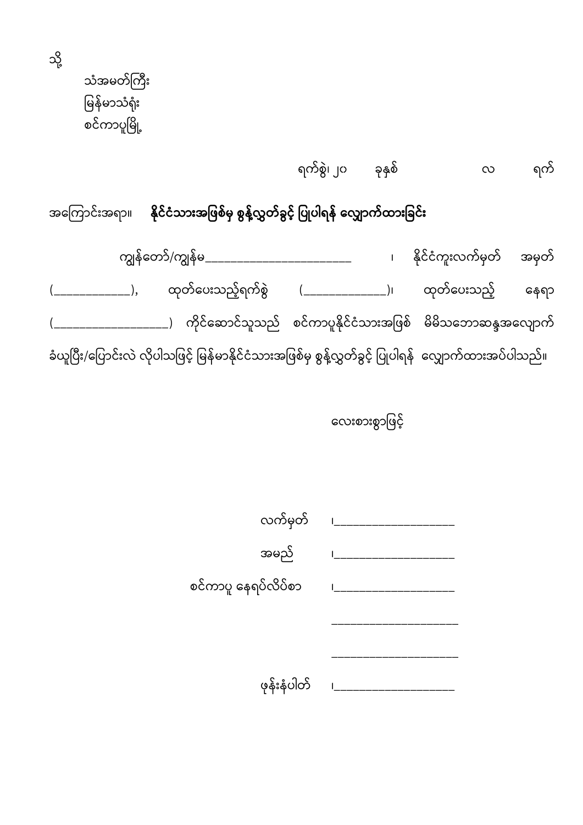သံအမတ်ကြီး မြန်မာသံရုံး စင်ကာပူမြို့

သို့

ရက်စွွဲ၊ ၂၀ ခိုနှစ် လ ရက်

အကြောင်းအရာ။ **နိုင်ငံသားအဖြစ်မှ စွန့်လွှတ်ခွင့် ပြုပါရန် လျှောက်ထားခြင်း** 

ကျွန်ရတာ်/ကျွန်မ\_\_\_\_\_\_\_\_\_\_\_\_\_\_\_\_\_\_\_\_\_\_\_ ၊ န ိုင်င ကူ်းလက်မှတ် အမှတ် (\_\_\_\_\_\_\_\_\_\_\_\_), ထုတ်ပေးသည့်ရက်စွဲ (\_\_\_\_\_\_\_\_\_\_\_\_\_\_)၊ ထုတ်ပေးသည့် နေရာ  $($ \_\_\_\_\_\_\_\_\_\_\_\_\_\_\_\_\_\_\_) ကိုင်ဆောင်သူသည် စင်ကာပူနိုင်ငံသားအဖြစ် မိမိသဘောဆန္ဒအလျောက် ခံယူပြီး/ပြောင်းလဲ လိုပါသဖြင့်် မြန်မာနိုင်ငံသားအဖြစ်မှ စွန့်လွှတ်ခွင့်် ပြုပါရန် 'လျှောက်ထားအပ်ပါသည်။

လေးစားစွာဖြင့်

| လက်မှတ်             |  |
|---------------------|--|
| အမည်                |  |
| စင်ကာပူ နေရပ်လိပ်စာ |  |
|                     |  |
|                     |  |
| ဖုန်းနံပါတ်         |  |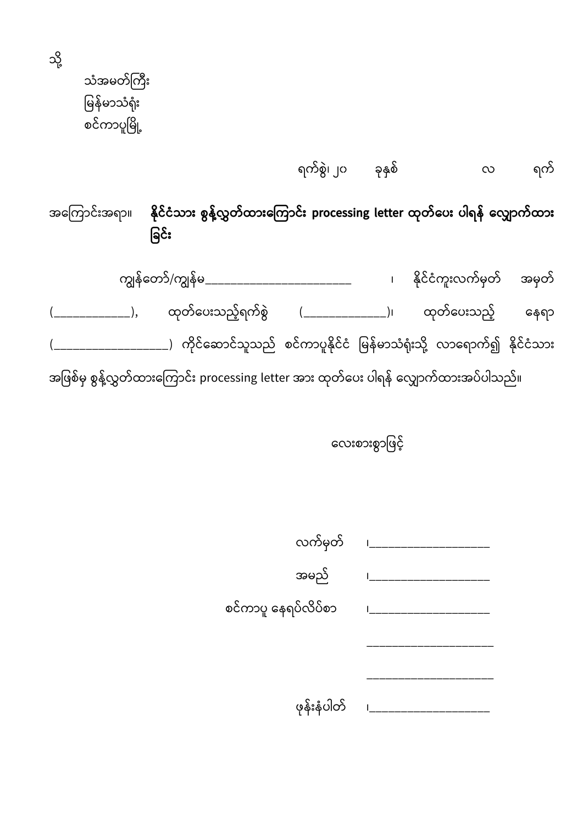သံအမတ်ကြီး မြန်မာသံရုံး စင်ကာပူမြို့

သို့

ရက်စွွဲ၊ ၂၀ ခိုနှစ် လ ရက်

အရကကာင််းအရာ။ **န ိုင်ငံသာား စွန့််လွှတ်ထာားလ ကာင်ား processing letter ထိုတ်လပား ပါရန် လလ ာက်ထာား မခင်ား**

ကျွန်ရတာ်/ကျွန်မ\_\_\_\_\_\_\_\_\_\_\_\_\_\_\_\_\_\_\_\_\_\_\_ ၊ န ိုင်င ကူ်းလက်မှတ် အမှတ် (\_\_\_\_\_\_\_\_\_\_\_\_\_), ထုတ်ပေးသည့်ရက်စွဲ (\_\_\_\_\_\_\_\_\_\_\_\_\_\_\_)၊ ထုတ်ပေးသည့် နေရာ \_\_\_\_\_\_\_\_\_\_\_\_\_\_\_\_\_\_\_\_) ကိုင်ဆောင်သူသည် စင်ကာပူနိုင်ငံ မြန်မာသံရုံးသို့ လာရောက်၍ နိုင်ငံသား အဖြစ်မှ စွန့်လွှတ်ထားကြောင်း processing letter အား ထုတ်ပေး ပါရန် လျှောက်ထားအပ်ပါသည်။

လေးစားစွာဖြင့်

| လက်မှတ်             |                               |
|---------------------|-------------------------------|
| အမည်                |                               |
| စင်ကာပူ နေရပ်လိပ်စာ | $\mathsf{I}$ and $\mathsf{I}$ |
|                     |                               |
|                     |                               |
| ဖုန်းနံပါတ်         |                               |